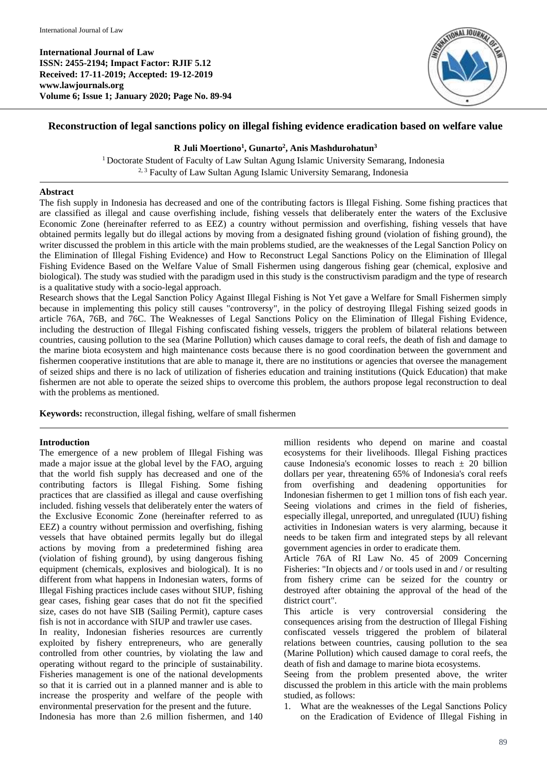**International Journal of Law ISSN: 2455-2194; Impact Factor: RJIF 5.12 Received: 17-11-2019; Accepted: 19-12-2019 www.lawjournals.org Volume 6; Issue 1; January 2020; Page No. 89-94**



# **Reconstruction of legal sanctions policy on illegal fishing evidence eradication based on welfare value**

## **R Juli Moertiono<sup>1</sup> , Gunarto<sup>2</sup> , Anis Mashdurohatun<sup>3</sup>**

<sup>1</sup> Doctorate Student of Faculty of Law Sultan Agung Islamic University Semarang, Indonesia <sup>2, 3</sup> Faculty of Law Sultan Agung Islamic University Semarang, Indonesia

# **Abstract**

The fish supply in Indonesia has decreased and one of the contributing factors is Illegal Fishing. Some fishing practices that are classified as illegal and cause overfishing include, fishing vessels that deliberately enter the waters of the Exclusive Economic Zone (hereinafter referred to as EEZ) a country without permission and overfishing, fishing vessels that have obtained permits legally but do illegal actions by moving from a designated fishing ground (violation of fishing ground), the writer discussed the problem in this article with the main problems studied, are the weaknesses of the Legal Sanction Policy on the Elimination of Illegal Fishing Evidence) and How to Reconstruct Legal Sanctions Policy on the Elimination of Illegal Fishing Evidence Based on the Welfare Value of Small Fishermen using dangerous fishing gear (chemical, explosive and biological). The study was studied with the paradigm used in this study is the constructivism paradigm and the type of research is a qualitative study with a socio-legal approach.

Research shows that the Legal Sanction Policy Against Illegal Fishing is Not Yet gave a Welfare for Small Fishermen simply because in implementing this policy still causes "controversy", in the policy of destroying Illegal Fishing seized goods in article 76A, 76B, and 76C. The Weaknesses of Legal Sanctions Policy on the Elimination of Illegal Fishing Evidence, including the destruction of Illegal Fishing confiscated fishing vessels, triggers the problem of bilateral relations between countries, causing pollution to the sea (Marine Pollution) which causes damage to coral reefs, the death of fish and damage to the marine biota ecosystem and high maintenance costs because there is no good coordination between the government and fishermen cooperative institutions that are able to manage it, there are no institutions or agencies that oversee the management of seized ships and there is no lack of utilization of fisheries education and training institutions (Quick Education) that make fishermen are not able to operate the seized ships to overcome this problem, the authors propose legal reconstruction to deal with the problems as mentioned.

**Keywords:** reconstruction, illegal fishing, welfare of small fishermen

## **Introduction**

The emergence of a new problem of Illegal Fishing was made a major issue at the global level by the FAO, arguing that the world fish supply has decreased and one of the contributing factors is Illegal Fishing. Some fishing practices that are classified as illegal and cause overfishing included. fishing vessels that deliberately enter the waters of the Exclusive Economic Zone (hereinafter referred to as EEZ) a country without permission and overfishing, fishing vessels that have obtained permits legally but do illegal actions by moving from a predetermined fishing area (violation of fishing ground), by using dangerous fishing equipment (chemicals, explosives and biological). It is no different from what happens in Indonesian waters, forms of Illegal Fishing practices include cases without SIUP, fishing gear cases, fishing gear cases that do not fit the specified size, cases do not have SIB (Sailing Permit), capture cases fish is not in accordance with SIUP and trawler use cases.

In reality, Indonesian fisheries resources are currently exploited by fishery entrepreneurs, who are generally controlled from other countries, by violating the law and operating without regard to the principle of sustainability. Fisheries management is one of the national developments so that it is carried out in a planned manner and is able to increase the prosperity and welfare of the people with environmental preservation for the present and the future. Indonesia has more than 2.6 million fishermen, and 140

million residents who depend on marine and coastal ecosystems for their livelihoods. Illegal Fishing practices cause Indonesia's economic losses to reach  $\pm$  20 billion dollars per year, threatening 65% of Indonesia's coral reefs from overfishing and deadening opportunities for Indonesian fishermen to get 1 million tons of fish each year. Seeing violations and crimes in the field of fisheries, especially illegal, unreported, and unregulated (IUU) fishing activities in Indonesian waters is very alarming, because it needs to be taken firm and integrated steps by all relevant government agencies in order to eradicate them.

Article 76A of RI Law No. 45 of 2009 Concerning Fisheries: "In objects and / or tools used in and / or resulting from fishery crime can be seized for the country or destroyed after obtaining the approval of the head of the district court".

This article is very controversial considering the consequences arising from the destruction of Illegal Fishing confiscated vessels triggered the problem of bilateral relations between countries, causing pollution to the sea (Marine Pollution) which caused damage to coral reefs, the death of fish and damage to marine biota ecosystems.

Seeing from the problem presented above, the writer discussed the problem in this article with the main problems studied, as follows:

1. What are the weaknesses of the Legal Sanctions Policy on the Eradication of Evidence of Illegal Fishing in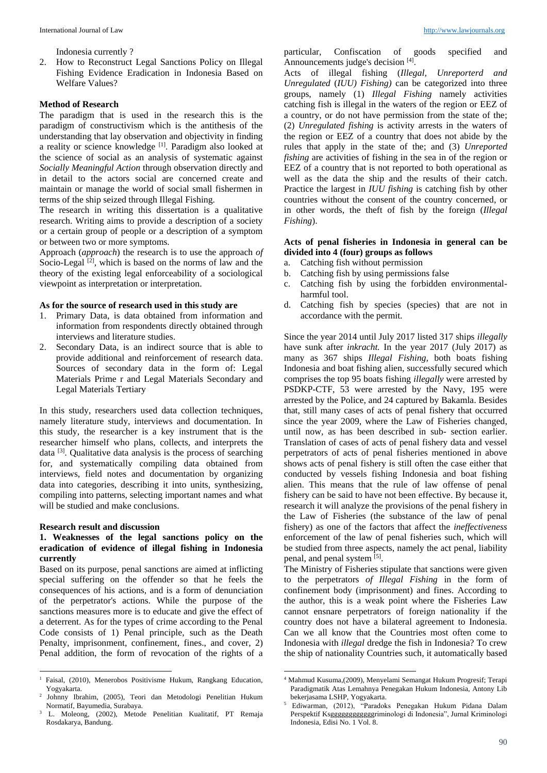Indonesia currently ?

2. How to Reconstruct Legal Sanctions Policy on Illegal Fishing Evidence Eradication in Indonesia Based on Welfare Values?

#### **Method of Research**

The paradigm that is used in the research this is the paradigm of constructivism which is the antithesis of the understanding that lay observation and objectivity in finding a reality or science knowledge [1]. Paradigm also looked at the science of social as an analysis of systematic against *Socially Meaningful Action* through observation directly and in detail to the actors social are concerned create and maintain or manage the world of social small fishermen in terms of the ship seized through Illegal Fishing.

The research in writing this dissertation is a qualitative research. Writing aims to provide a description of a society or a certain group of people or a description of a symptom or between two or more symptoms.

Approach (*approach*) the research is to use the approach *of*  Socio-Legal  $[2]$ , which is based on the norms of law and the theory of the existing legal enforceability of a sociological viewpoint as interpretation or interpretation.

#### **As for the source of research used in this study are**

- 1. Primary Data, is data obtained from information and information from respondents directly obtained through interviews and literature studies.
- 2. Secondary Data, is an indirect source that is able to provide additional and reinforcement of research data. Sources of secondary data in the form of: Legal Materials Prime r and Legal Materials Secondary and Legal Materials Tertiary

In this study, researchers used data collection techniques, namely literature study, interviews and documentation. In this study, the researcher is a key instrument that is the researcher himself who plans, collects, and interprets the data <sup>[3]</sup>. Qualitative data analysis is the process of searching for, and systematically compiling data obtained from interviews, field notes and documentation by organizing data into categories, describing it into units, synthesizing, compiling into patterns, selecting important names and what will be studied and make conclusions.

#### **Research result and discussion**

 $\overline{a}$ 

# **1. Weaknesses of the legal sanctions policy on the eradication of evidence of illegal fishing in Indonesia currently**

Based on its purpose, penal sanctions are aimed at inflicting special suffering on the offender so that he feels the consequences of his actions, and is a form of denunciation of the perpetrator's actions. While the purpose of the sanctions measures more is to educate and give the effect of a deterrent. As for the types of crime according to the Penal Code consists of 1) Penal principle, such as the Death Penalty, imprisonment, confinement, fines., and cover, 2) Penal addition, the form of revocation of the rights of a

particular, Confiscation of goods specified and Announcements judge's decision [4].

Acts of illegal fishing (*Illegal, Unreporterd and Unregulated* (*IUU) Fishing)* can be categorized into three groups, namely (1) *Illegal Fishing* namely activities catching fish is illegal in the waters of the region or EEZ of a country, or do not have permission from the state of the; (2) *Unregulated fishing* is activity arrests in the waters of the region or EEZ of a country that does not abide by the rules that apply in the state of the; and (3) *Unreported fishing* are activities of fishing in the sea in of the region or EEZ of a country that is not reported to both operational as well as the data the ship and the results of their catch. Practice the largest in *IUU fishing* is catching fish by other countries without the consent of the country concerned, or in other words, the theft of fish by the foreign (*Illegal Fishing*).

### **Acts of penal fisheries in Indonesia in general can be divided into 4 (four) groups as follows**

- a. Catching fish without permission
- b. Catching fish by using permissions false
- c. Catching fish by using the forbidden environmentalharmful tool.
- d. Catching fish by species (species) that are not in accordance with the permit.

Since the year 2014 until July 2017 listed 317 ships *illegally*  have sunk after *inkracht.* In the year 2017 (July 2017) as many as 367 ships *Illegal Fishing,* both boats fishing Indonesia and boat fishing alien, successfully secured which comprises the top 95 boats fishing *illegally* were arrested by PSDKP-CTF, 53 were arrested by the Navy, 195 were arrested by the Police, and 24 captured by Bakamla. Besides that, still many cases of acts of penal fishery that occurred since the year 2009, where the Law of Fisheries changed, until now, as has been described in sub- section earlier. Translation of cases of acts of penal fishery data and vessel perpetrators of acts of penal fisheries mentioned in above shows acts of penal fishery is still often the case either that conducted by vessels fishing Indonesia and boat fishing alien. This means that the rule of law offense of penal fishery can be said to have not been effective. By because it, research it will analyze the provisions of the penal fishery in the Law of Fisheries (the substance of the law of penal fishery) as one of the factors that affect the *ineffectiveness*  enforcement of the law of penal fisheries such, which will be studied from three aspects, namely the act penal, liability penal, and penal system [5].

The Ministry of Fisheries stipulate that sanctions were given to the perpetrators *of Illegal Fishing* in the form of confinement body (imprisonment) and fines. According to the author, this is a weak point where the Fisheries Law cannot ensnare perpetrators of foreign nationality if the country does not have a bilateral agreement to Indonesia. Can we all know that the Countries most often come to Indonesia with *illegal* dredge the fish in Indonesia? To crew the ship of nationality Countries such, it automatically based

**.** 

<sup>&</sup>lt;sup>1</sup> Faisal, (2010), Menerobos Positivisme Hukum, Rangkang Education, Yogyakarta.

<sup>2</sup> Johnny Ibrahim, (2005), Teori dan Metodologi Penelitian Hukum Normatif, Bayumedia, Surabaya.

<sup>&</sup>lt;sup>3</sup> L. Moleong, (2002), Metode Penelitian Kualitatif, PT Remaja Rosdakarya, Bandung.

<sup>4</sup> Mahmud Kusuma,(2009), Menyelami Semangat Hukum Progresif; Terapi Paradigmatik Atas Lemahnya Penegakan Hukum Indonesia, Antony Lib bekerjasama LSHP, Yogyakarta.

<sup>5</sup> Ediwarman, (2012), "Paradoks Penegakan Hukum Pidana Dalam Perspektif Ksggggggggggggriminologi di Indonesia", Jurnal Kriminologi Indonesia, Edisi No. 1 Vol. 8.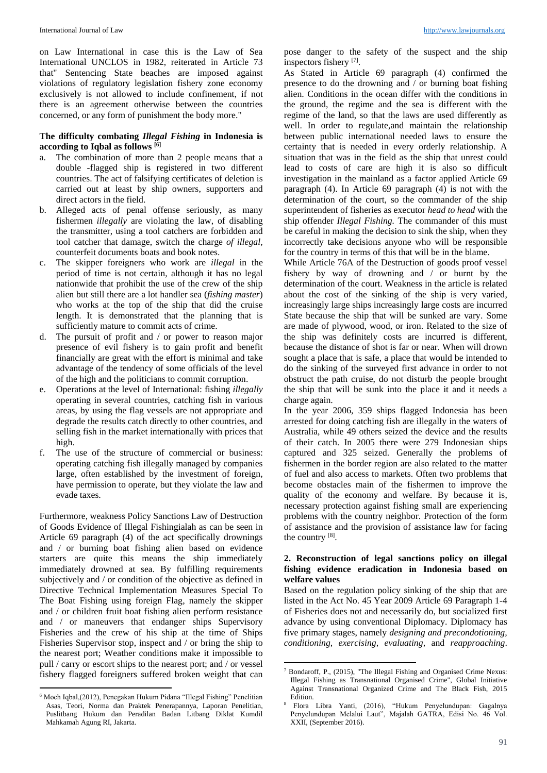on Law International in case this is the Law of Sea International UNCLOS in 1982, reiterated in Article 73 that" Sentencing State beaches are imposed against violations of regulatory legislation fishery zone economy exclusively is not allowed to include confinement, if not there is an agreement otherwise between the countries concerned, or any form of punishment the body more."

### **The difficulty combating** *Illegal Fishing* **in Indonesia is according to Iqbal as follows [6]**

- a. The combination of more than 2 people means that a double -flagged ship is registered in two different countries. The act of falsifying certificates of deletion is carried out at least by ship owners, supporters and direct actors in the field.
- b. Alleged acts of penal offense seriously, as many fishermen *illegally* are violating the law, of disabling the transmitter, using a tool catchers are forbidden and tool catcher that damage, switch the charge *of illegal,* counterfeit documents boats and book notes.
- c. The skipper foreigners who work are *illegal* in the period of time is not certain, although it has no legal nationwide that prohibit the use of the crew of the ship alien but still there are a lot handler sea (*fishing master*) who works at the top of the ship that did the cruise length. It is demonstrated that the planning that is sufficiently mature to commit acts of crime.
- d. The pursuit of profit and / or power to reason major presence of evil fishery is to gain profit and benefit financially are great with the effort is minimal and take advantage of the tendency of some officials of the level of the high and the politicians to commit corruption.
- e. Operations at the level of International: fishing *illegally*  operating in several countries, catching fish in various areas, by using the flag vessels are not appropriate and degrade the results catch directly to other countries, and selling fish in the market internationally with prices that high.
- f. The use of the structure of commercial or business: operating catching fish illegally managed by companies large, often established by the investment of foreign, have permission to operate, but they violate the law and evade taxes.

Furthermore, weakness Policy Sanctions Law of Destruction of Goods Evidence of Illegal Fishingialah as can be seen in Article 69 paragraph (4) of the act specifically drownings and / or burning boat fishing alien based on evidence starters are quite this means the ship immediately immediately drowned at sea. By fulfilling requirements subjectively and / or condition of the objective as defined in Directive Technical Implementation Measures Special To The Boat Fishing using foreign Flag, namely the skipper and / or children fruit boat fishing alien perform resistance and / or maneuvers that endanger ships Supervisory Fisheries and the crew of his ship at the time of Ships Fisheries Supervisor stop, inspect and / or bring the ship to the nearest port; Weather conditions make it impossible to pull / carry or escort ships to the nearest port; and / or vessel fishery flagged foreigners suffered broken weight that can

 $\overline{a}$ 

pose danger to the safety of the suspect and the ship inspectors fishery [7].

As Stated in Article 69 paragraph (4) confirmed the presence to do the drowning and / or burning boat fishing alien. Conditions in the ocean differ with the conditions in the ground, the regime and the sea is different with the regime of the land, so that the laws are used differently as well. In order to regulate,and maintain the relationship between public international needed laws to ensure the certainty that is needed in every orderly relationship. A situation that was in the field as the ship that unrest could lead to costs of care are high it is also so difficult investigation in the mainland as a factor applied Article 69 paragraph (4). In Article 69 paragraph (4) is not with the determination of the court, so the commander of the ship superintendent of fisheries as executor *head to head* with the ship offender *Illegal Fishing.* The commander of this must be careful in making the decision to sink the ship, when they incorrectly take decisions anyone who will be responsible for the country in terms of this that will be in the blame.

While Article 76A of the Destruction of goods proof vessel fishery by way of drowning and / or burnt by the determination of the court. Weakness in the article is related about the cost of the sinking of the ship is very varied, increasingly large ships increasingly large costs are incurred State because the ship that will be sunked are vary. Some are made of plywood, wood, or iron. Related to the size of the ship was definitely costs are incurred is different, because the distance of shot is far or near. When will drown sought a place that is safe, a place that would be intended to do the sinking of the surveyed first advance in order to not obstruct the path cruise, do not disturb the people brought the ship that will be sunk into the place it and it needs a charge again.

In the year 2006, 359 ships flagged Indonesia has been arrested for doing catching fish are illegally in the waters of Australia, while 49 others seized the device and the results of their catch. In 2005 there were 279 Indonesian ships captured and 325 seized. Generally the problems of fishermen in the border region are also related to the matter of fuel and also access to markets. Often two problems that become obstacles main of the fishermen to improve the quality of the economy and welfare. By because it is, necessary protection against fishing small are experiencing problems with the country neighbor. Protection of the form of assistance and the provision of assistance law for facing the country [8].

### **2. Reconstruction of legal sanctions policy on illegal fishing evidence eradication in Indonesia based on welfare values**

Based on the regulation policy sinking of the ship that are listed in the Act No. 45 Year 2009 Article 69 Paragraph 1-4 of Fisheries does not and necessarily do, but socialized first advance by using conventional Diplomacy. Diplomacy has five primary stages, namely *designing and precondotioning, conditioning, exercising, evaluating,* and *reapproaching*.

1

<sup>6</sup> Moch Iqbal,(2012), Penegakan Hukum Pidana "Illegal Fishing" Penelitian Asas, Teori, Norma dan Praktek Penerapannya, Laporan Penelitian, Puslitbang Hukum dan Peradilan Badan Litbang Diklat Kumdil Mahkamah Agung RI, Jakarta.

<sup>7</sup> Bondaroff, P., (2015), "The Illegal Fishing and Organised Crime Nexus: Illegal Fishing as Transnational Organised Crime", Global Initiative Against Transnational Organized Crime and The Black Fish, 2015 Edition.

<sup>8</sup> Flora Libra Yanti, (2016), "Hukum Penyelundupan: Gagalnya Penyelundupan Melalui Laut", Majalah GATRA, Edisi No. 46 Vol. XXII, (September 2016).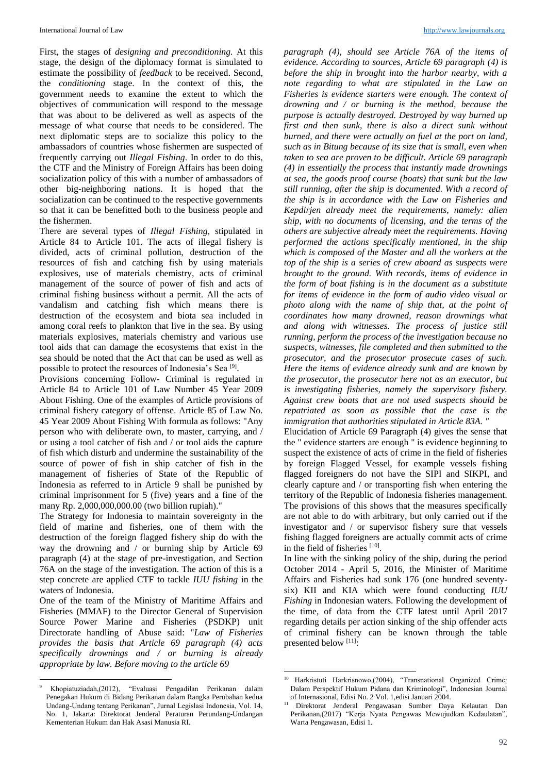First, the stages of *designing and preconditioning.* At this stage, the design of the diplomacy format is simulated to estimate the possibility of *feedback* to be received. Second, the *conditioning* stage. In the context of this, the government needs to examine the extent to which the objectives of communication will respond to the message that was about to be delivered as well as aspects of the message of what course that needs to be considered. The next diplomatic steps are to socialize this policy to the ambassadors of countries whose fishermen are suspected of frequently carrying out *Illegal Fishing*. In order to do this, the CTF and the Ministry of Foreign Affairs has been doing socialization policy of this with a number of ambassadors of other big-neighboring nations. It is hoped that the socialization can be continued to the respective governments so that it can be benefitted both to the business people and the fishermen.

There are several types of *Illegal Fishing,* stipulated in Article 84 to Article 101. The acts of illegal fishery is divided, acts of criminal pollution, destruction of the resources of fish and catching fish by using materials explosives, use of materials chemistry, acts of criminal management of the source of power of fish and acts of criminal fishing business without a permit. All the acts of vandalism and catching fish which means there is destruction of the ecosystem and biota sea included in among coral reefs to plankton that live in the sea. By using materials explosives, materials chemistry and various use tool aids that can damage the ecosystems that exist in the sea should be noted that the Act that can be used as well as possible to protect the resources of Indonesia's Sea<sup>[9]</sup>.

Provisions concerning Follow- Criminal is regulated in Article 84 to Article 101 of Law Number 45 Year 2009 About Fishing. One of the examples of Article provisions of criminal fishery category of offense. Article 85 of Law No. 45 Year 2009 About Fishing With formula as follows: "Any person who with deliberate own, to master, carrying, and / or using a tool catcher of fish and / or tool aids the capture of fish which disturb and undermine the sustainability of the source of power of fish in ship catcher of fish in the management of fisheries of State of the Republic of Indonesia as referred to in Article 9 shall be punished by criminal imprisonment for 5 (five) years and a fine of the many Rp. 2,000,000,000.00 (two billion rupiah)."

The Strategy for Indonesia to maintain sovereignty in the field of marine and fisheries, one of them with the destruction of the foreign flagged fishery ship do with the way the drowning and / or burning ship by Article 69 paragraph (4) at the stage of pre-investigation, and Section 76A on the stage of the investigation. The action of this is a step concrete are applied CTF to tackle *IUU fishing* in the waters of Indonesia.

One of the team of the Ministry of Maritime Affairs and Fisheries (MMAF) to the Director General of Supervision Source Power Marine and Fisheries (PSDKP) unit Directorate handling of Abuse said: "*Law of Fisheries provides the basis that Article 69 paragraph (4) acts specifically drownings and / or burning is already appropriate by law. Before moving to the article 69* 

 $\ddot{\phantom{a}}$ 

*paragraph (4), should see Article 76A of the items of evidence. According to sources, Article 69 paragraph (4) is before the ship in brought into the harbor nearby, with a note regarding to what are stipulated in the Law on Fisheries is evidence starters were enough. The context of drowning and / or burning is the method, because the purpose is actually destroyed. Destroyed by way burned up first and then sunk, there is also a direct sunk without burned, and there were actually on fuel at the port on land, such as in Bitung because of its size that is small, even when taken to sea are proven to be difficult. Article 69 paragraph (4) in essentially the process that instantly made drownings at sea, the goods proof course (boats) that sunk but the law still running, after the ship is documented. With a record of the ship is in accordance with the Law on Fisheries and Kepdirjen already meet the requirements, namely: alien ship, with no documents of licensing, and the terms of the others are subjective already meet the requirements. Having performed the actions specifically mentioned, in the ship which is composed of the Master and all the workers at the top of the ship is a series of crew aboard as suspects were brought to the ground. With records, items of evidence in the form of boat fishing is in the document as a substitute for items of evidence in the form of audio video visual or photo along with the name of ship that, at the point of coordinates how many drowned, reason drownings what and along with witnesses. The process of justice still running, perform the process of the investigation because no suspects, witnesses, file completed and then submitted to the prosecutor, and the prosecutor prosecute cases of such. Here the items of evidence already sunk and are known by the prosecutor, the prosecutor here not as an executor, but is investigating fisheries, namely the supervisory fishery. Against crew boats that are not used suspects should be repatriated as soon as possible that the case is the immigration that authorities stipulated in Article 83A. "*

Elucidation of Article 69 Paragraph (4) gives the sense that the " evidence starters are enough " is evidence beginning to suspect the existence of acts of crime in the field of fisheries by foreign Flagged Vessel, for example vessels fishing flagged foreigners do not have the SIPI and SIKPI, and clearly capture and / or transporting fish when entering the territory of the Republic of Indonesia fisheries management. The provisions of this shows that the measures specifically are not able to do with arbitrary, but only carried out if the investigator and / or supervisor fishery sure that vessels fishing flagged foreigners are actually commit acts of crime in the field of fisheries [10].

In line with the sinking policy of the ship, during the period October 2014 - April 5, 2016, the Minister of Maritime Affairs and Fisheries had sunk 176 (one hundred seventysix) KII and KIA which were found conducting *IUU Fishing* in Indonesian waters. Following the development of the time, of data from the CTF latest until April 2017 regarding details per action sinking of the ship offender acts of criminal fishery can be known through the table presented below [11]:

<sup>9</sup> Khopiatuziadah,(2012), "Evaluasi Pengadilan Perikanan dalam Penegakan Hukum di Bidang Perikanan dalam Rangka Perubahan kedua Undang-Undang tentang Perikanan", Jurnal Legislasi Indonesia, Vol. 14, No. 1, Jakarta: Direktorat Jenderal Peraturan Perundang-Undangan Kementerian Hukum dan Hak Asasi Manusia RI.

**<sup>.</sup>** <sup>10</sup> Harkristuti Harkrisnowo,(2004), "Transnational Organized Crime: Dalam Perspektif Hukum Pidana dan Kriminologi", Indonesian Journal of Internasional, Edisi No. 2 Vol. 1,edisi Januari 2004.

<sup>11</sup> Direktorat Jenderal Pengawasan Sumber Daya Kelautan Dan Perikanan,(2017) "Kerja Nyata Pengawas Mewujudkan Kedaulatan", Warta Pengawasan, Edisi 1.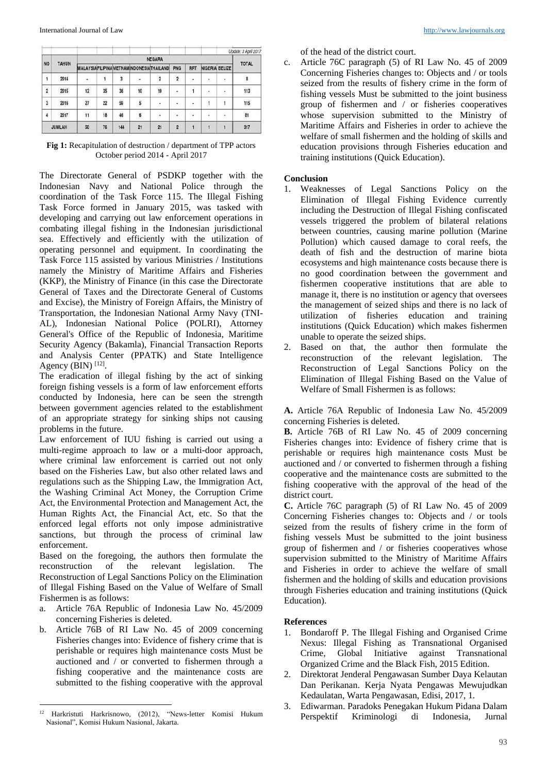|               |               |    |     |        |                |                                                 |            |    |           | Update: 3 April 2017 |
|---------------|---------------|----|-----|--------|----------------|-------------------------------------------------|------------|----|-----------|----------------------|
|               | <b>NEGARA</b> |    |     |        |                |                                                 |            |    |           | <b>TOTAL</b>         |
| <b>NO</b>     |               |    |     |        |                | PNG                                             | <b>RRT</b> |    |           |                      |
| 2014          | ٠             | 1  | 3   | ×      | $\overline{2}$ | $\overline{2}$                                  | $\bullet$  | ٠  | ×         | 8                    |
| 2015          | 12            | 35 | 36  | 10     | 19             | ٠                                               |            | ٠  | $\lambda$ | 113                  |
| 2016          | 27            | 22 | 59  | 5      | $\sim$         | 溢                                               | 19         | 1  | 1         | 115                  |
| 2017          | 11            | 18 | 46  | 6<br>× | ÷.             | ÷,                                              | V.         | U. | i.        | 81                   |
| <b>JUMLAH</b> | 50            | 76 | 144 | 21     | 21             | $\overline{2}$                                  |            |    | ۱         | 317                  |
|               | <b>TAHUN</b>  |    |     |        |                | <b>MALAYSIAFILIPINAVIETNAMINDONESIATHAILAND</b> |            |    |           | NIGERIA BELIZE       |

**Fig 1:** Recapitulation of destruction / department of TPP actors October period 2014 - April 2017

The Directorate General of PSDKP together with the Indonesian Navy and National Police through the coordination of the Task Force 115. The Illegal Fishing Task Force formed in January 2015, was tasked with developing and carrying out law enforcement operations in combating illegal fishing in the Indonesian jurisdictional sea. Effectively and efficiently with the utilization of operating personnel and equipment. In coordinating the Task Force 115 assisted by various Ministries / Institutions namely the Ministry of Maritime Affairs and Fisheries (KKP), the Ministry of Finance (in this case the Directorate General of Taxes and the Directorate General of Customs and Excise), the Ministry of Foreign Affairs, the Ministry of Transportation, the Indonesian National Army Navy (TNI-AL), Indonesian National Police (POLRI), Attorney General's Office of the Republic of Indonesia, Maritime Security Agency (Bakamla), Financial Transaction Reports and Analysis Center (PPATK) and State Intelligence Agency (BIN)  $[12]$ .

The eradication of illegal fishing by the act of sinking foreign fishing vessels is a form of law enforcement efforts conducted by Indonesia, here can be seen the strength between government agencies related to the establishment of an appropriate strategy for sinking ships not causing problems in the future.

Law enforcement of IUU fishing is carried out using a multi-regime approach to law or a multi-door approach, where criminal law enforcement is carried out not only based on the Fisheries Law, but also other related laws and regulations such as the Shipping Law, the Immigration Act, the Washing Criminal Act Money, the Corruption Crime Act, the Environmental Protection and Management Act, the Human Rights Act, the Financial Act, etc. So that the enforced legal efforts not only impose administrative sanctions, but through the process of criminal law enforcement.

Based on the foregoing, the authors then formulate the reconstruction of the relevant legislation. The Reconstruction of Legal Sanctions Policy on the Elimination of Illegal Fishing Based on the Value of Welfare of Small Fishermen is as follows:

- a. Article 76A Republic of Indonesia Law No. 45/2009 concerning Fisheries is deleted.
- b. Article 76B of RI Law No. 45 of 2009 concerning Fisheries changes into: Evidence of fishery crime that is perishable or requires high maintenance costs Must be auctioned and / or converted to fishermen through a fishing cooperative and the maintenance costs are submitted to the fishing cooperative with the approval

of the head of the district court.

c. Article 76C paragraph (5) of RI Law No. 45 of 2009 Concerning Fisheries changes to: Objects and / or tools seized from the results of fishery crime in the form of fishing vessels Must be submitted to the joint business group of fishermen and / or fisheries cooperatives whose supervision submitted to the Ministry of Maritime Affairs and Fisheries in order to achieve the welfare of small fishermen and the holding of skills and education provisions through Fisheries education and training institutions (Quick Education).

### **Conclusion**

- 1. Weaknesses of Legal Sanctions Policy on the Elimination of Illegal Fishing Evidence currently including the Destruction of Illegal Fishing confiscated vessels triggered the problem of bilateral relations between countries, causing marine pollution (Marine Pollution) which caused damage to coral reefs, the death of fish and the destruction of marine biota ecosystems and high maintenance costs because there is no good coordination between the government and fishermen cooperative institutions that are able to manage it, there is no institution or agency that oversees the management of seized ships and there is no lack of utilization of fisheries education and training institutions (Quick Education) which makes fishermen unable to operate the seized ships.
- 2. Based on that, the author then formulate the reconstruction of the relevant legislation. The Reconstruction of Legal Sanctions Policy on the Elimination of Illegal Fishing Based on the Value of Welfare of Small Fishermen is as follows:

**A.** Article 76A Republic of Indonesia Law No. 45/2009 concerning Fisheries is deleted.

**B.** Article 76B of RI Law No. 45 of 2009 concerning Fisheries changes into: Evidence of fishery crime that is perishable or requires high maintenance costs Must be auctioned and / or converted to fishermen through a fishing cooperative and the maintenance costs are submitted to the fishing cooperative with the approval of the head of the district court.

**C.** Article 76C paragraph (5) of RI Law No. 45 of 2009 Concerning Fisheries changes to: Objects and / or tools seized from the results of fishery crime in the form of fishing vessels Must be submitted to the joint business group of fishermen and / or fisheries cooperatives whose supervision submitted to the Ministry of Maritime Affairs and Fisheries in order to achieve the welfare of small fishermen and the holding of skills and education provisions through Fisheries education and training institutions (Quick Education).

### **References**

- 1. Bondaroff P. The Illegal Fishing and Organised Crime Nexus: Illegal Fishing as Transnational Organised Crime, Global Initiative against Transnational Organized Crime and the Black Fish, 2015 Edition.
- 2. Direktorat Jenderal Pengawasan Sumber Daya Kelautan Dan Perikanan. Kerja Nyata Pengawas Mewujudkan Kedaulatan, Warta Pengawasan, Edisi, 2017, 1.
- 3. Ediwarman. Paradoks Penegakan Hukum Pidana Dalam Perspektif Kriminologi di Indonesia, Jurnal

 $\overline{a}$ <sup>12</sup> Harkristuti Harkrisnowo, (2012), "News-letter Komisi Hukum Nasional", Komisi Hukum Nasional, Jakarta.